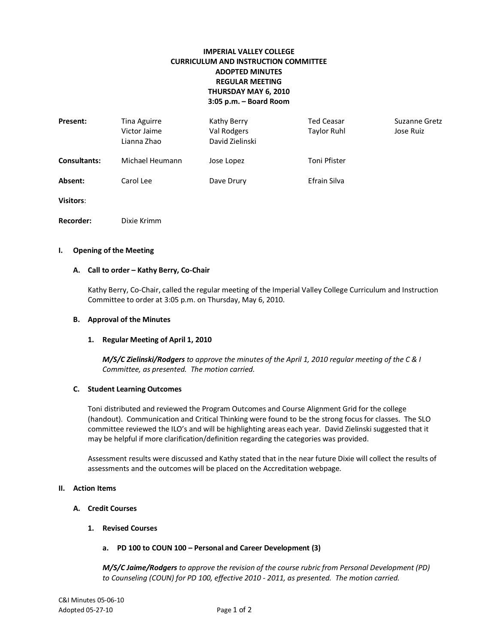# **IMPERIAL VALLEY COLLEGE CURRICULUM AND INSTRUCTION COMMITTEE ADOPTED MINUTES REGULAR MEETING THURSDAY MAY 6, 2010 3:05 p.m. – Board Room**

| Present:            | Tina Aguirre<br>Victor Jaime<br>Lianna Zhao | Kathy Berry<br>Val Rodgers<br>David Zielinski | <b>Ted Ceasar</b><br><b>Taylor Ruhl</b> | Suzanne Gretz<br>Jose Ruiz |
|---------------------|---------------------------------------------|-----------------------------------------------|-----------------------------------------|----------------------------|
| <b>Consultants:</b> | Michael Heumann                             | Jose Lopez                                    | Toni Pfister                            |                            |
| Absent:             | Carol Lee                                   | Dave Drury                                    | Efrain Silva                            |                            |
| <b>Visitors:</b>    |                                             |                                               |                                         |                            |
| <b>Recorder:</b>    | Dixie Krimm                                 |                                               |                                         |                            |

#### **I. Opening of the Meeting**

#### **A. Call to order – Kathy Berry, Co-Chair**

Kathy Berry, Co-Chair, called the regular meeting of the Imperial Valley College Curriculum and Instruction Committee to order at 3:05 p.m. on Thursday, May 6, 2010.

### **B. Approval of the Minutes**

#### **1. Regular Meeting of April 1, 2010**

*M/S/C Zielinski/Rodgers to approve the minutes of the April 1, 2010 regular meeting of the C & I Committee, as presented. The motion carried.*

### **C. Student Learning Outcomes**

Toni distributed and reviewed the Program Outcomes and Course Alignment Grid for the college (handout). Communication and Critical Thinking were found to be the strong focus for classes. The SLO committee reviewed the ILO's and will be highlighting areas each year. David Zielinski suggested that it may be helpful if more clarification/definition regarding the categories was provided.

Assessment results were discussed and Kathy stated that in the near future Dixie will collect the results of assessments and the outcomes will be placed on the Accreditation webpage.

### **II. Action Items**

### **A. Credit Courses**

**1. Revised Courses**

# **a. PD 100 to COUN 100 – Personal and Career Development (3)**

*M/S/C Jaime/Rodgers to approve the revision of the course rubric from Personal Development (PD) to Counseling (COUN) for PD 100, effective 2010 - 2011, as presented. The motion carried.*